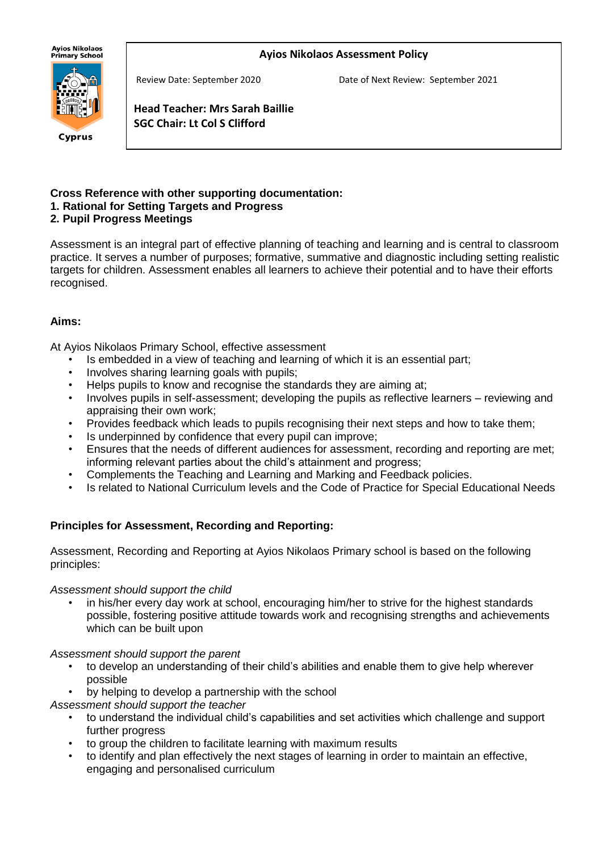#### **Ayios Nikolaos Assessment Policy**

**Ayios Nikolaos** Primarv School



Cyprus

Review Date: September 2020 Date of Next Review: September 2021

**Head Teacher: Mrs Sarah Baillie SGC Chair: Lt Col S Clifford**

# **Cross Reference with other supporting documentation:**

## **1. Rational for Setting Targets and Progress**

## **2. Pupil Progress Meetings**

j

Assessment is an integral part of effective planning of teaching and learning and is central to classroom practice. It serves a number of purposes; formative, summative and diagnostic including setting realistic targets for children. Assessment enables all learners to achieve their potential and to have their efforts recognised.

## **Aims:**

At Ayios Nikolaos Primary School, effective assessment

- Is embedded in a view of teaching and learning of which it is an essential part;
- Involves sharing learning goals with pupils;
- Helps pupils to know and recognise the standards they are aiming at;
- Involves pupils in self-assessment; developing the pupils as reflective learners reviewing and appraising their own work;
- Provides feedback which leads to pupils recognising their next steps and how to take them;
- Is underpinned by confidence that every pupil can improve;
- Ensures that the needs of different audiences for assessment, recording and reporting are met; informing relevant parties about the child's attainment and progress;
- Complements the Teaching and Learning and Marking and Feedback policies.
- Is related to National Curriculum levels and the Code of Practice for Special Educational Needs

## **Principles for Assessment, Recording and Reporting:**

Assessment, Recording and Reporting at Ayios Nikolaos Primary school is based on the following principles:

#### *Assessment should support the child*

• in his/her every day work at school, encouraging him/her to strive for the highest standards possible, fostering positive attitude towards work and recognising strengths and achievements which can be built upon

#### *Assessment should support the parent*

- to develop an understanding of their child's abilities and enable them to give help wherever possible
- by helping to develop a partnership with the school
- *Assessment should support the teacher*
	- to understand the individual child's capabilities and set activities which challenge and support further progress
	- to group the children to facilitate learning with maximum results
	- to identify and plan effectively the next stages of learning in order to maintain an effective, engaging and personalised curriculum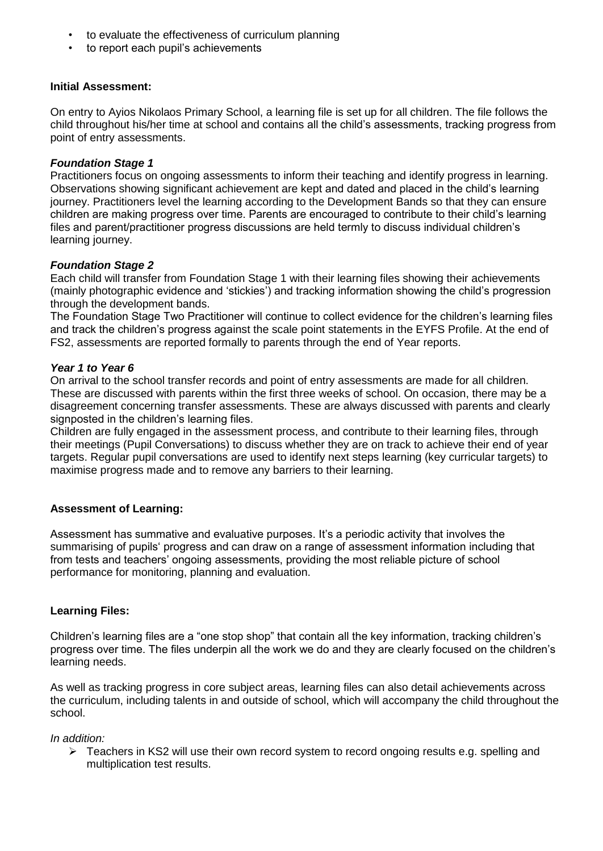- to evaluate the effectiveness of curriculum planning
- to report each pupil's achievements

#### **Initial Assessment:**

On entry to Ayios Nikolaos Primary School, a learning file is set up for all children. The file follows the child throughout his/her time at school and contains all the child's assessments, tracking progress from point of entry assessments.

#### *Foundation Stage 1*

Practitioners focus on ongoing assessments to inform their teaching and identify progress in learning. Observations showing significant achievement are kept and dated and placed in the child's learning journey. Practitioners level the learning according to the Development Bands so that they can ensure children are making progress over time. Parents are encouraged to contribute to their child's learning files and parent/practitioner progress discussions are held termly to discuss individual children's learning journey.

#### *Foundation Stage 2*

Each child will transfer from Foundation Stage 1 with their learning files showing their achievements (mainly photographic evidence and 'stickies') and tracking information showing the child's progression through the development bands.

The Foundation Stage Two Practitioner will continue to collect evidence for the children's learning files and track the children's progress against the scale point statements in the EYFS Profile. At the end of FS2, assessments are reported formally to parents through the end of Year reports.

#### *Year 1 to Year 6*

On arrival to the school transfer records and point of entry assessments are made for all children. These are discussed with parents within the first three weeks of school. On occasion, there may be a disagreement concerning transfer assessments. These are always discussed with parents and clearly signposted in the children's learning files.

Children are fully engaged in the assessment process, and contribute to their learning files, through their meetings (Pupil Conversations) to discuss whether they are on track to achieve their end of year targets. Regular pupil conversations are used to identify next steps learning (key curricular targets) to maximise progress made and to remove any barriers to their learning.

## **Assessment of Learning:**

Assessment has summative and evaluative purposes. It's a periodic activity that involves the summarising of pupils' progress and can draw on a range of assessment information including that from tests and teachers' ongoing assessments, providing the most reliable picture of school performance for monitoring, planning and evaluation.

## **Learning Files:**

Children's learning files are a "one stop shop" that contain all the key information, tracking children's progress over time. The files underpin all the work we do and they are clearly focused on the children's learning needs.

As well as tracking progress in core subject areas, learning files can also detail achievements across the curriculum, including talents in and outside of school, which will accompany the child throughout the school.

#### *In addition:*

 $\triangleright$  Teachers in KS2 will use their own record system to record ongoing results e.g. spelling and multiplication test results.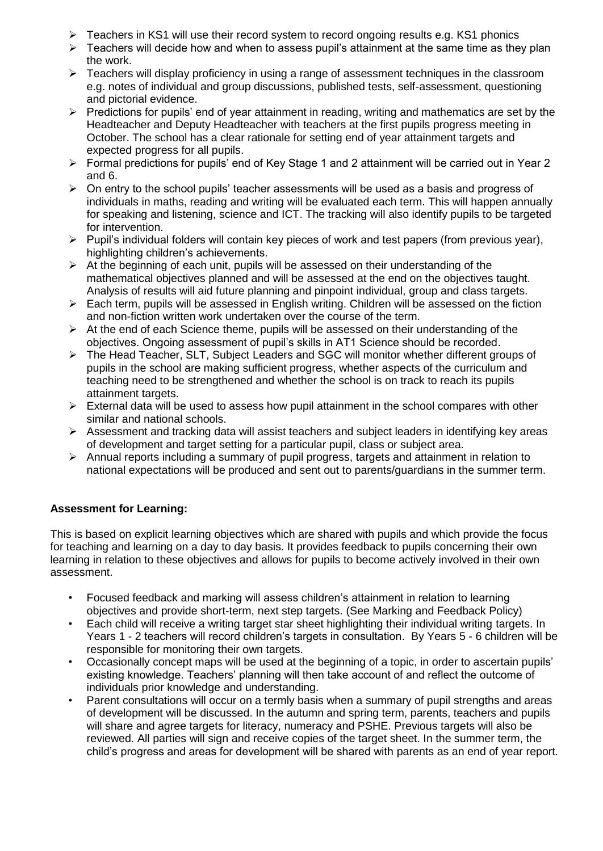- $\triangleright$  Teachers in KS1 will use their record system to record ongoing results e.g. KS1 phonics
- $\triangleright$  Teachers will decide how and when to assess pupil's attainment at the same time as they plan the work.
- $\triangleright$  Teachers will display proficiency in using a range of assessment techniques in the classroom e.g. notes of individual and group discussions, published tests, self-assessment, questioning and pictorial evidence.
- $\triangleright$  Predictions for pupils' end of year attainment in reading, writing and mathematics are set by the Headteacher and Deputy Headteacher with teachers at the first pupils progress meeting in October. The school has a clear rationale for setting end of year attainment targets and expected progress for all pupils.
- ➢ Formal predictions for pupils' end of Key Stage 1 and 2 attainment will be carried out in Year 2 and 6.
- $\triangleright$  On entry to the school pupils' teacher assessments will be used as a basis and progress of individuals in maths, reading and writing will be evaluated each term. This will happen annually for speaking and listening, science and ICT. The tracking will also identify pupils to be targeted for intervention.
- ➢ Pupil's individual folders will contain key pieces of work and test papers (from previous year), highlighting children's achievements.
- $\triangleright$  At the beginning of each unit, pupils will be assessed on their understanding of the mathematical objectives planned and will be assessed at the end on the objectives taught. Analysis of results will aid future planning and pinpoint individual, group and class targets.
- ➢ Each term, pupils will be assessed in English writing. Children will be assessed on the fiction and non-fiction written work undertaken over the course of the term.
- $\triangleright$  At the end of each Science theme, pupils will be assessed on their understanding of the objectives. Ongoing assessment of pupil's skills in AT1 Science should be recorded.
- ➢ The Head Teacher, SLT, Subject Leaders and SGC will monitor whether different groups of pupils in the school are making sufficient progress, whether aspects of the curriculum and teaching need to be strengthened and whether the school is on track to reach its pupils attainment targets.
- $\triangleright$  External data will be used to assess how pupil attainment in the school compares with other similar and national schools.
- $\triangleright$  Assessment and tracking data will assist teachers and subject leaders in identifying key areas of development and target setting for a particular pupil, class or subject area.
- $\triangleright$  Annual reports including a summary of pupil progress, targets and attainment in relation to national expectations will be produced and sent out to parents/guardians in the summer term.

## **Assessment for Learning:**

This is based on explicit learning objectives which are shared with pupils and which provide the focus for teaching and learning on a day to day basis. It provides feedback to pupils concerning their own learning in relation to these objectives and allows for pupils to become actively involved in their own assessment.

- Focused feedback and marking will assess children's attainment in relation to learning objectives and provide short-term, next step targets. (See Marking and Feedback Policy)
- Each child will receive a writing target star sheet highlighting their individual writing targets. In Years 1 - 2 teachers will record children's targets in consultation. By Years 5 - 6 children will be responsible for monitoring their own targets.
- Occasionally concept maps will be used at the beginning of a topic, in order to ascertain pupils' existing knowledge. Teachers' planning will then take account of and reflect the outcome of individuals prior knowledge and understanding.
- Parent consultations will occur on a termly basis when a summary of pupil strengths and areas of development will be discussed. In the autumn and spring term, parents, teachers and pupils will share and agree targets for literacy, numeracy and PSHE. Previous targets will also be reviewed. All parties will sign and receive copies of the target sheet. In the summer term, the child's progress and areas for development will be shared with parents as an end of year report.